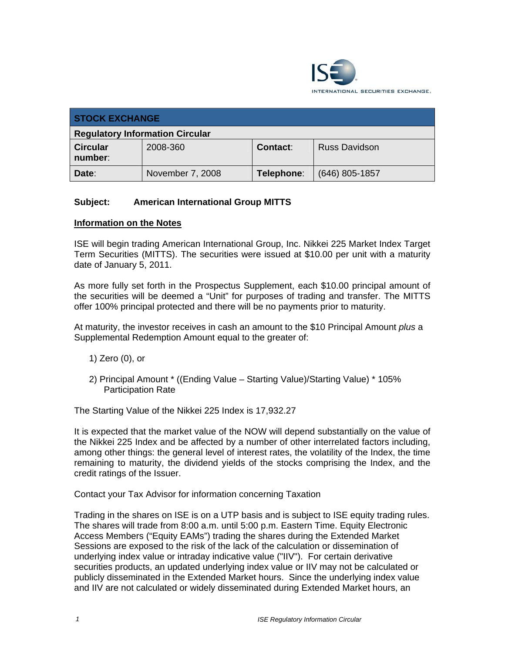

| <b>STOCK EXCHANGE</b>                  |                  |                 |                      |  |
|----------------------------------------|------------------|-----------------|----------------------|--|
| <b>Regulatory Information Circular</b> |                  |                 |                      |  |
| <b>Circular</b><br>number:             | 2008-360         | <b>Contact:</b> | <b>Russ Davidson</b> |  |
| Date:                                  | November 7, 2008 | Telephone:      | $(646)$ 805-1857     |  |

## **Subject: American International Group MITTS**

## **Information on the Notes**

ISE will begin trading American International Group, Inc. Nikkei 225 Market Index Target Term Securities (MITTS). The securities were issued at \$10.00 per unit with a maturity date of January 5, 2011.

As more fully set forth in the Prospectus Supplement, each \$10.00 principal amount of the securities will be deemed a "Unit" for purposes of trading and transfer. The MITTS offer 100% principal protected and there will be no payments prior to maturity.

At maturity, the investor receives in cash an amount to the \$10 Principal Amount *plus* a Supplemental Redemption Amount equal to the greater of:

- 1) Zero (0), or
- 2) Principal Amount \* ((Ending Value Starting Value)/Starting Value) \* 105% Participation Rate

The Starting Value of the Nikkei 225 Index is 17,932.27

It is expected that the market value of the NOW will depend substantially on the value of the Nikkei 225 Index and be affected by a number of other interrelated factors including, among other things: the general level of interest rates, the volatility of the Index, the time remaining to maturity, the dividend yields of the stocks comprising the Index, and the credit ratings of the Issuer.

Contact your Tax Advisor for information concerning Taxation

Trading in the shares on ISE is on a UTP basis and is subject to ISE equity trading rules. The shares will trade from 8:00 a.m. until 5:00 p.m. Eastern Time. Equity Electronic Access Members ("Equity EAMs") trading the shares during the Extended Market Sessions are exposed to the risk of the lack of the calculation or dissemination of underlying index value or intraday indicative value ("IIV"). For certain derivative securities products, an updated underlying index value or IIV may not be calculated or publicly disseminated in the Extended Market hours. Since the underlying index value and IIV are not calculated or widely disseminated during Extended Market hours, an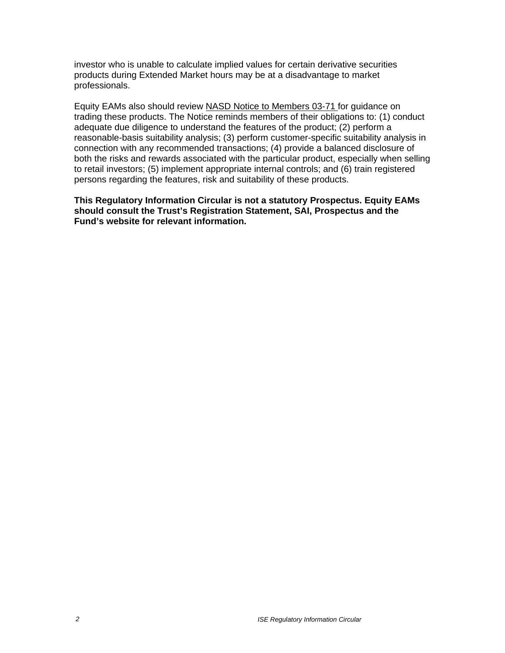investor who is unable to calculate implied values for certain derivative securities products during Extended Market hours may be at a disadvantage to market professionals.

Equity EAMs also should review NASD Notice to Members 03-71 for guidance on trading these products. The Notice reminds members of their obligations to: (1) conduct adequate due diligence to understand the features of the product; (2) perform a reasonable-basis suitability analysis; (3) perform customer-specific suitability analysis in connection with any recommended transactions; (4) provide a balanced disclosure of both the risks and rewards associated with the particular product, especially when selling to retail investors; (5) implement appropriate internal controls; and (6) train registered persons regarding the features, risk and suitability of these products.

**This Regulatory Information Circular is not a statutory Prospectus. Equity EAMs should consult the Trust's Registration Statement, SAI, Prospectus and the Fund's website for relevant information.**